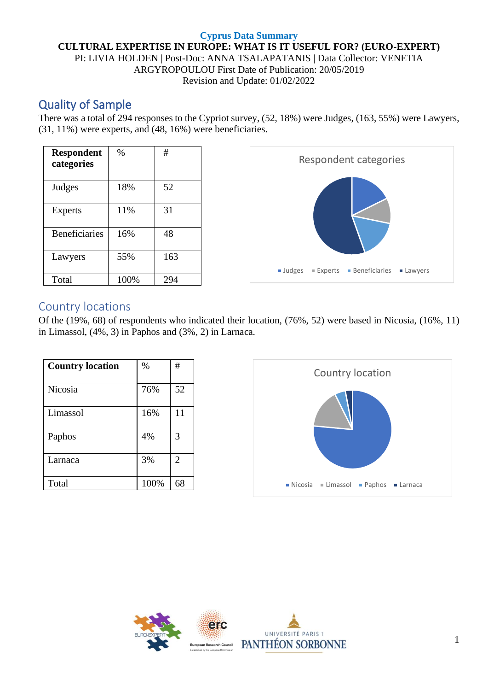#### **Cyprus Data Summary CULTURAL EXPERTISE IN EUROPE: WHAT IS IT USEFUL FOR? (EURO-EXPERT)** PI: LIVIA HOLDEN | Post-Doc: ANNA TSALAPATANIS | Data Collector: VENETIA ARGYROPOULOU First Date of Publication: 20/05/2019 Revision and Update: 01/02/2022

# Quality of Sample

There was a total of 294 responses to the Cypriot survey, (52, 18%) were Judges, (163, 55%) were Lawyers, (31, 11%) were experts, and (48, 16%) were beneficiaries.

| <b>Respondent</b><br>categories | $\%$ | #   |
|---------------------------------|------|-----|
| Judges                          | 18%  | 52  |
| <b>Experts</b>                  | 11%  | 31  |
| <b>Beneficiaries</b>            | 16%  | 48  |
| Lawyers                         | 55%  | 163 |
| Total                           | 100% | 294 |



### Country locations

Of the (19%, 68) of respondents who indicated their location, (76%, 52) were based in Nicosia, (16%, 11) in Limassol, (4%, 3) in Paphos and (3%, 2) in Larnaca.

| <b>Country location</b> | $\%$ | #              |
|-------------------------|------|----------------|
| Nicosia                 | 76%  | 52             |
| Limassol                | 16%  | 11             |
| Paphos                  | 4%   | 3              |
| Larnaca                 | 3%   | $\overline{2}$ |
| Total                   | 100% | 68             |



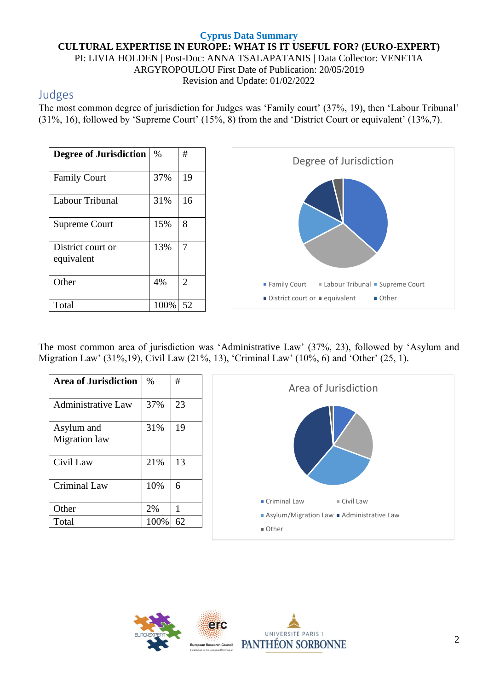#### **Cyprus Data Summary CULTURAL EXPERTISE IN EUROPE: WHAT IS IT USEFUL FOR? (EURO-EXPERT)** PI: LIVIA HOLDEN | Post-Doc: ANNA TSALAPATANIS | Data Collector: VENETIA ARGYROPOULOU First Date of Publication: 20/05/2019 Revision and Update: 01/02/2022

## Judges

The most common degree of jurisdiction for Judges was 'Family court' (37%, 19), then 'Labour Tribunal' (31%, 16), followed by 'Supreme Court' (15%, 8) from the and 'District Court or equivalent' (13%,7).

| <b>Degree of Jurisdiction</b>   | $\%$ | #  |
|---------------------------------|------|----|
| <b>Family Court</b>             | 37%  | 19 |
| Labour Tribunal                 | 31%  | 16 |
| <b>Supreme Court</b>            | 15%  | 8  |
| District court or<br>equivalent | 13%  | 7  |
| Other                           | 4%   | 2  |
| Total                           | 100% | 52 |



The most common area of jurisdiction was 'Administrative Law' (37%, 23), followed by 'Asylum and Migration Law' (31%,19), Civil Law (21%, 13), 'Criminal Law' (10%, 6) and 'Other' (25, 1).

| <b>Area of Jurisdiction</b> | $\%$ | $\#$ | Area of Jurisdiction                               |
|-----------------------------|------|------|----------------------------------------------------|
| <b>Administrative Law</b>   | 37%  | 23   |                                                    |
| Asylum and<br>Migration law | 31%  | 19   |                                                    |
| Civil Law                   | 21%  | 13   |                                                    |
| Criminal Law                | 10%  | 6    |                                                    |
| Other                       | 2%   |      | $\blacksquare$ Criminal Law<br>$\equiv$ Civil Law  |
| Total                       | 100% | 62   | Asylum/Migration Law Administrative Law<br>■ Other |

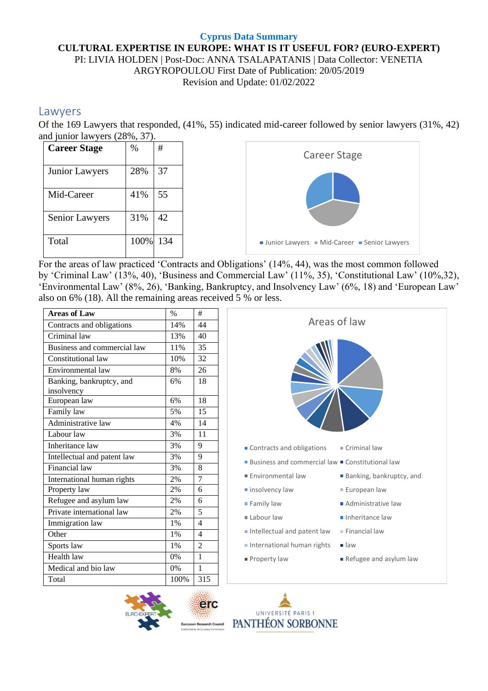#### **Cyprus Data Summary CULTURAL EXPERTISE IN EUROPE: WHAT IS IT USEFUL FOR? (EURO-EXPERT)** PI: LIVIA HOLDEN | Post-Doc: ANNA TSALAPATANIS | Data Collector: VENETIA ARGYROPOULOU First Date of Publication: 20/05/2019 Revision and Update: 01/02/2022

### Lawyers

Of the 169 Lawyers that responded, (41%, 55) indicated mid-career followed by senior lawyers (31%, 42) and junior lawyers (28%, 37).



For the areas of law practiced 'Contracts and Obligations' (14%, 44), was the most common followed by 'Criminal Law' (13%, 40), 'Business and Commercial Law' (11%, 35), 'Constitutional Law' (10%,32), 'Environmental Law' (8%, 26), 'Banking, Bankruptcy, and Insolvency Law' (6%, 18) and 'European Law' also on 6% (18). All the remaining areas received 5 % or less.

| <b>Areas of Law</b>                    | $\frac{0}{0}$ | $\overline{+}$ |                                                             |
|----------------------------------------|---------------|----------------|-------------------------------------------------------------|
| Contracts and obligations              | 14%           | 44             | Areas of law                                                |
| Criminal law                           | 13%           | 40             |                                                             |
| Business and commercial law            | 11%           | 35             |                                                             |
| Constitutional law                     | 10%           | 32             |                                                             |
| Environmental law                      | 8%            | 26             |                                                             |
| Banking, bankruptcy, and<br>insolvency | 6%            | 18             |                                                             |
| European law                           | 6%            | 18             |                                                             |
| Family law                             | 5%            | 15             |                                                             |
| Administrative law                     | 4%            | 14             |                                                             |
| Labour law                             | 3%            | 11             |                                                             |
| Inheritance law                        | 3%            | 9              | $\blacksquare$ Criminal law<br>Contracts and obligations    |
| Intellectual and patent law            | 3%            | 9              | ■ Business and commercial law ■ Constitutional law          |
| Financial law                          | 3%            | 8              |                                                             |
| <b>International human rights</b>      | 2%            | $\overline{7}$ | Environmental law<br><b>Banking, bankruptcy, and</b>        |
| Property law                           | 2%            | 6              | European law<br>$\blacksquare$ insolvency law               |
| Refugee and asylum law                 | 2%            | 6              | Family law<br>Administrative law                            |
| Private international law              | 2%            | 5              | Labour law<br>Inheritance law                               |
| Immigration law                        | 1%            | $\overline{4}$ |                                                             |
| Other                                  | 1%            | $\overline{4}$ | Intellectual and patent law<br>$\blacksquare$ Financial law |
| Sports law                             | 1%            | $\overline{2}$ | International human rights<br>$\blacksquare$ law            |
| Health law                             | 0%            | $\mathbf{1}$   | Property law<br>Refugee and asylum law                      |
| Medical and bio law                    | 0%            | $\mathbf{1}$   |                                                             |
| Total                                  | 100%          | 315            |                                                             |



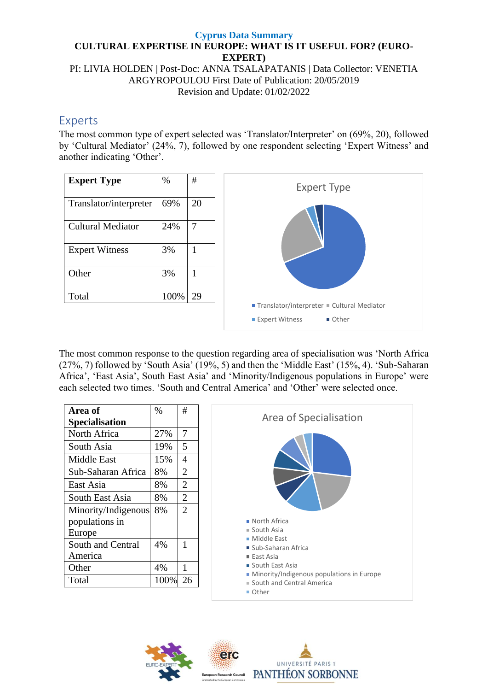PI: LIVIA HOLDEN | Post-Doc: ANNA TSALAPATANIS | Data Collector: VENETIA ARGYROPOULOU First Date of Publication: 20/05/2019 Revision and Update: 01/02/2022

### Experts

The most common type of expert selected was 'Translator/Interpreter' on (69%, 20), followed by 'Cultural Mediator' (24%, 7), followed by one respondent selecting 'Expert Witness' and another indicating 'Other'.

| <b>Expert Type</b>       | %    | #  |
|--------------------------|------|----|
| Translator/interpreter   | 69%  | 20 |
| <b>Cultural Mediator</b> | 24%  | 7  |
| <b>Expert Witness</b>    | 3%   | 1  |
| Other                    | 3%   | 1  |
| Total                    | 100% | 29 |
|                          |      |    |



The most common response to the question regarding area of specialisation was 'North Africa (27%, 7) followed by 'South Asia' (19%, 5) and then the 'Middle East' (15%, 4). 'Sub-Saharan Africa', 'East Asia', South East Asia' and 'Minority/Indigenous populations in Europe' were each selected two times. 'South and Central America' and 'Other' were selected once.

| Area of               | $\%$ | #              |
|-----------------------|------|----------------|
| <b>Specialisation</b> |      |                |
| North Africa          | 27%  | 7              |
| South Asia            | 19%  | 5              |
| Middle East           | 15%  | $\overline{4}$ |
| Sub-Saharan Africa    | 8%   | $\overline{2}$ |
| East Asia             | 8%   | $\overline{2}$ |
| South East Asia       | 8%   | $\overline{2}$ |
| Minority/Indigenous   | 8%   | $\overline{2}$ |
| populations in        |      |                |
| Europe                |      |                |
| South and Central     | 4%   | 1              |
| America               |      |                |
| Other                 | 4%   | 1              |
| Total                 | 100% | 26             |



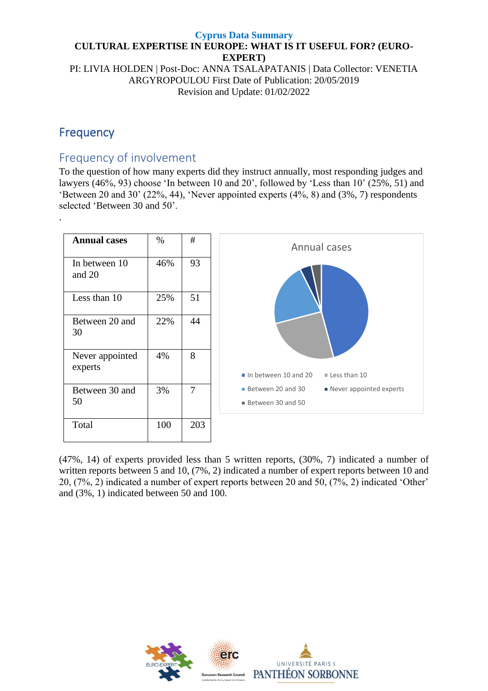#### **Cyprus Data Summary CULTURAL EXPERTISE IN EUROPE: WHAT IS IT USEFUL FOR? (EURO-EXPERT)** PI: LIVIA HOLDEN | Post-Doc: ANNA TSALAPATANIS | Data Collector: VENETIA

ARGYROPOULOU First Date of Publication: 20/05/2019 Revision and Update: 01/02/2022

# Frequency

## Frequency of involvement

To the question of how many experts did they instruct annually, most responding judges and lawyers (46%, 93) choose 'In between 10 and 20', followed by 'Less than 10' (25%, 51) and 'Between 20 and 30' (22%, 44), 'Never appointed experts (4%, 8) and (3%, 7) respondents selected 'Between 30 and 50'.



(47%, 14) of experts provided less than 5 written reports, (30%, 7) indicated a number of written reports between 5 and 10, (7%, 2) indicated a number of expert reports between 10 and 20, (7%, 2) indicated a number of expert reports between 20 and 50, (7%, 2) indicated 'Other' and (3%, 1) indicated between 50 and 100.

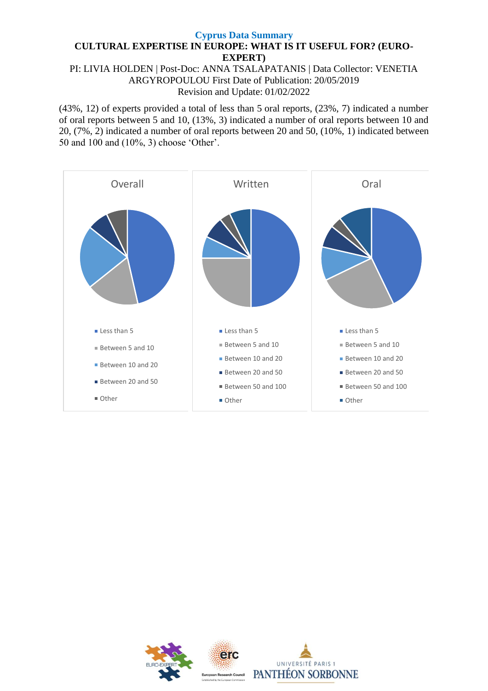PI: LIVIA HOLDEN | Post-Doc: ANNA TSALAPATANIS | Data Collector: VENETIA ARGYROPOULOU First Date of Publication: 20/05/2019 Revision and Update: 01/02/2022

(43%, 12) of experts provided a total of less than 5 oral reports, (23%, 7) indicated a number of oral reports between 5 and 10, (13%, 3) indicated a number of oral reports between 10 and 20, (7%, 2) indicated a number of oral reports between 20 and 50, (10%, 1) indicated between 50 and 100 and (10%, 3) choose 'Other'.



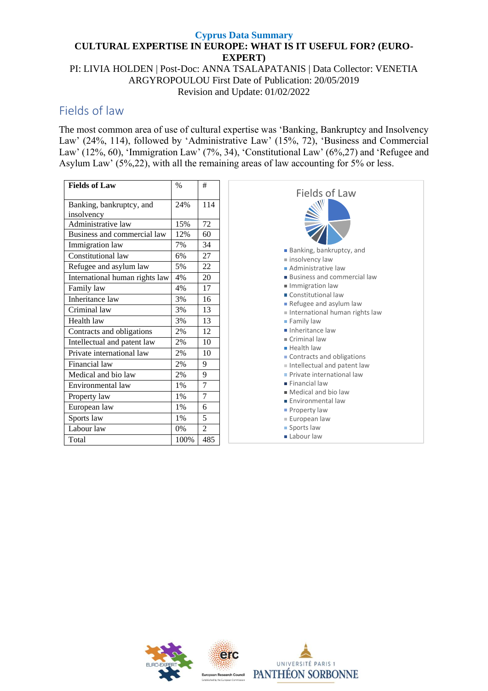PI: LIVIA HOLDEN | Post-Doc: ANNA TSALAPATANIS | Data Collector: VENETIA ARGYROPOULOU First Date of Publication: 20/05/2019 Revision and Update: 01/02/2022

### Fields of law

The most common area of use of cultural expertise was 'Banking, Bankruptcy and Insolvency Law' (24%, 114), followed by 'Administrative Law' (15%, 72), 'Business and Commercial Law' (12%, 60), 'Immigration Law' (7%, 34), 'Constitutional Law' (6%,27) and 'Refugee and Asylum Law' (5%,22), with all the remaining areas of law accounting for 5% or less.

| <b>Fields of Law</b>           | $\frac{0}{0}$ | #              |
|--------------------------------|---------------|----------------|
| Banking, bankruptcy, and       | 24%           | 114            |
|                                |               |                |
| insolvency                     |               |                |
| Administrative law             | 15%           | 72             |
| Business and commercial law    | 12%           | 60             |
| Immigration law                | 7%            | 34             |
| Constitutional law             | 6%            | 27             |
| Refugee and asylum law         | 5%            | 22             |
| International human rights law | 4%            | 20             |
| Family law                     | 4%            | 17             |
| Inheritance law                | 3%            | 16             |
| Criminal law                   | 3%            | 13             |
| Health law                     | 3%            | 13             |
| Contracts and obligations      | 2%            | 12             |
| Intellectual and patent law    | 2%            | 10             |
| Private international law      | 2%            | 10             |
| Financial law                  | 2%            | 9              |
| Medical and bio law            | 2%            | 9              |
| Environmental law              | $1\%$         | $\overline{7}$ |
| Property law                   | $1\%$         | $\overline{7}$ |
| European law                   | 1%            | 6              |
| Sports law                     | 1%            | 5              |
| Labour law                     | 0%            | 2              |
| Total                          | 100%          | 485            |



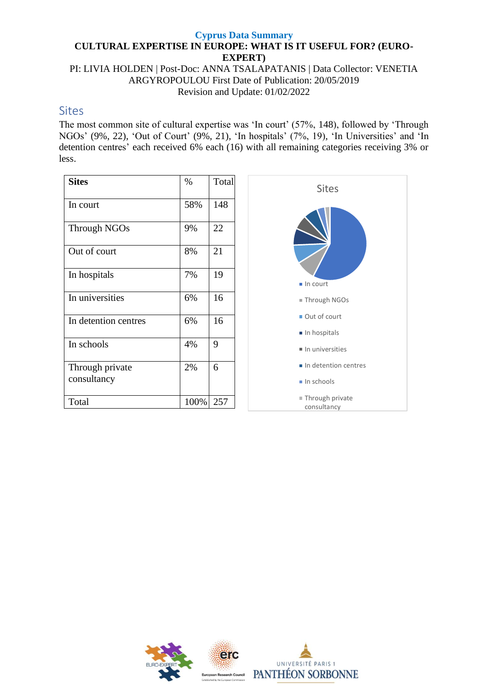PI: LIVIA HOLDEN | Post-Doc: ANNA TSALAPATANIS | Data Collector: VENETIA ARGYROPOULOU First Date of Publication: 20/05/2019 Revision and Update: 01/02/2022

### **Sites**

The most common site of cultural expertise was 'In court' (57%, 148), followed by 'Through NGOs' (9%, 22), 'Out of Court' (9%, 21), 'In hospitals' (7%, 19), 'In Universities' and 'In detention centres' each received 6% each (16) with all remaining categories receiving 3% or less.

| <b>Sites</b>                   | $\%$ | Total |
|--------------------------------|------|-------|
| In court                       | 58%  | 148   |
| Through NGOs                   | 9%   | 22    |
| Out of court                   | 8%   | 21    |
| In hospitals                   | 7%   | 19    |
| In universities                | 6%   | 16    |
| In detention centres           | 6%   | 16    |
| In schools                     | 4%   | 9     |
| Through private<br>consultancy | 2%   | 6     |
| Total                          | 100% | 257   |



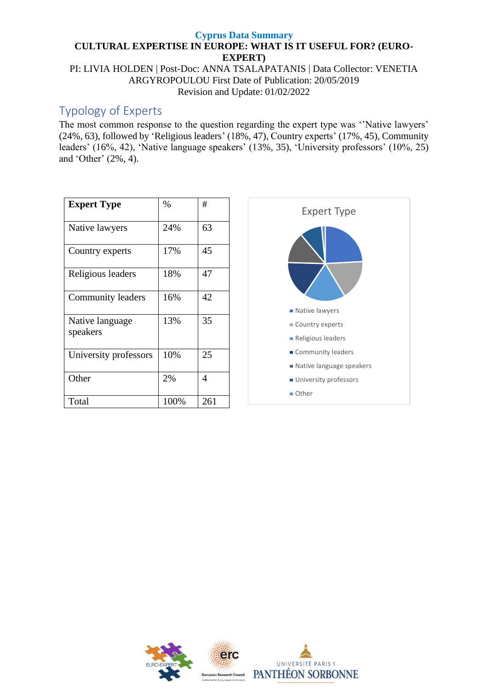PI: LIVIA HOLDEN | Post-Doc: ANNA TSALAPATANIS | Data Collector: VENETIA ARGYROPOULOU First Date of Publication: 20/05/2019 Revision and Update: 01/02/2022

## Typology of Experts

The most common response to the question regarding the expert type was ''Native lawyers' (24%, 63), followed by 'Religious leaders' (18%, 47), Country experts' (17%, 45), Community leaders' (16%, 42), 'Native language speakers' (13%, 35), 'University professors' (10%, 25) and 'Other' (2%, 4).

| <b>Expert Type</b>          | $\%$ | #   |
|-----------------------------|------|-----|
| Native lawyers              | 24%  | 63  |
| Country experts             | 17%  | 45  |
| Religious leaders           | 18%  | 47  |
| Community leaders           | 16%  | 42  |
| Native language<br>speakers | 13%  | 35  |
| University professors       | 10%  | 25  |
| Other                       | 2%   | 4   |
| Total                       | 100% | 261 |



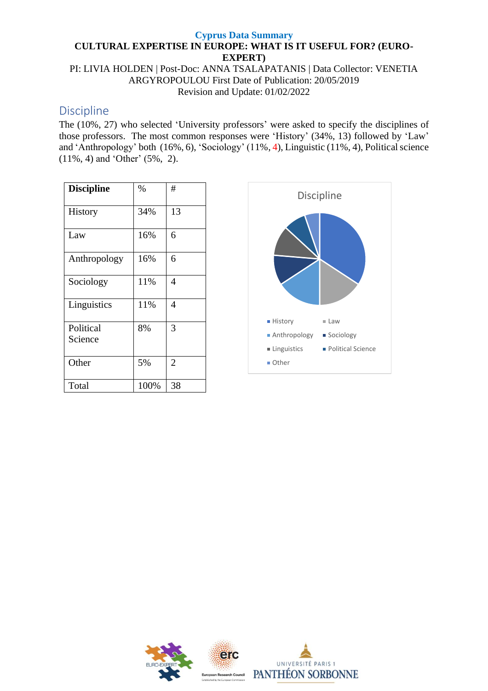PI: LIVIA HOLDEN | Post-Doc: ANNA TSALAPATANIS | Data Collector: VENETIA ARGYROPOULOU First Date of Publication: 20/05/2019 Revision and Update: 01/02/2022

### Discipline

The (10%, 27) who selected 'University professors' were asked to specify the disciplines of those professors. The most common responses were 'History' (34%, 13) followed by 'Law' and 'Anthropology' both (16%, 6), 'Sociology' (11%, 4), Linguistic (11%, 4), Political science (11%, 4) and 'Other' (5%, 2).

| <b>Discipline</b>    | %    | #              |
|----------------------|------|----------------|
| History              | 34%  | 13             |
| Law                  | 16%  | 6              |
| Anthropology         | 16%  | 6              |
| Sociology            | 11%  | 4              |
| Linguistics          | 11%  | $\overline{4}$ |
| Political<br>Science | 8%   | 3              |
| Other                | 5%   | $\overline{2}$ |
| Total                | 100% | 38             |



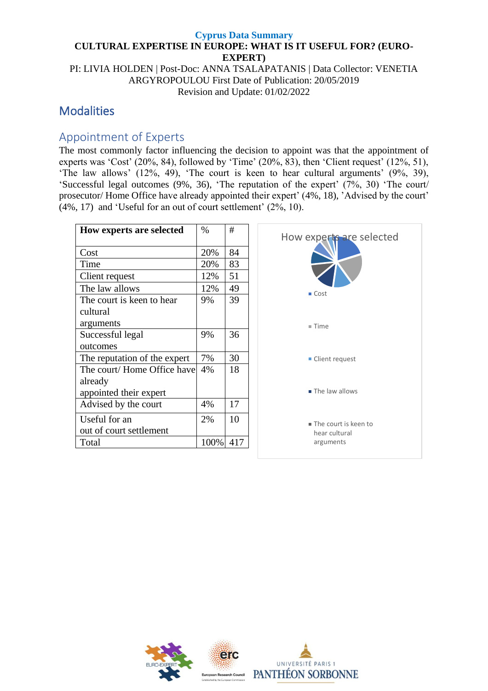PI: LIVIA HOLDEN | Post-Doc: ANNA TSALAPATANIS | Data Collector: VENETIA ARGYROPOULOU First Date of Publication: 20/05/2019 Revision and Update: 01/02/2022

## **Modalities**

# Appointment of Experts

The most commonly factor influencing the decision to appoint was that the appointment of experts was 'Cost' (20%, 84), followed by 'Time' (20%, 83), then 'Client request' (12%, 51), 'The law allows' (12%, 49), 'The court is keen to hear cultural arguments' (9%, 39), 'Successful legal outcomes (9%, 36), 'The reputation of the expert' (7%, 30) 'The court/ prosecutor/ Home Office have already appointed their expert' (4%, 18), 'Advised by the court' (4%, 17) and 'Useful for an out of court settlement' (2%, 10).

| <b>How experts are selected</b> | $\%$ | #   |
|---------------------------------|------|-----|
|                                 |      |     |
| Cost                            | 20%  | 84  |
| Time                            | 20%  | 83  |
| Client request                  | 12%  | 51  |
| The law allows                  | 12%  | 49  |
| The court is keen to hear       | 9%   | 39  |
| cultural                        |      |     |
| arguments                       |      |     |
| Successful legal                | 9%   | 36  |
| outcomes                        |      |     |
| The reputation of the expert    | 7%   | 30  |
| The court/Home Office have      | 4%   | 18  |
| already                         |      |     |
| appointed their expert          |      |     |
| Advised by the court            | 4%   | 17  |
| Useful for an                   | 2%   | 10  |
| out of court settlement         |      |     |
| Total                           | 100% | 417 |



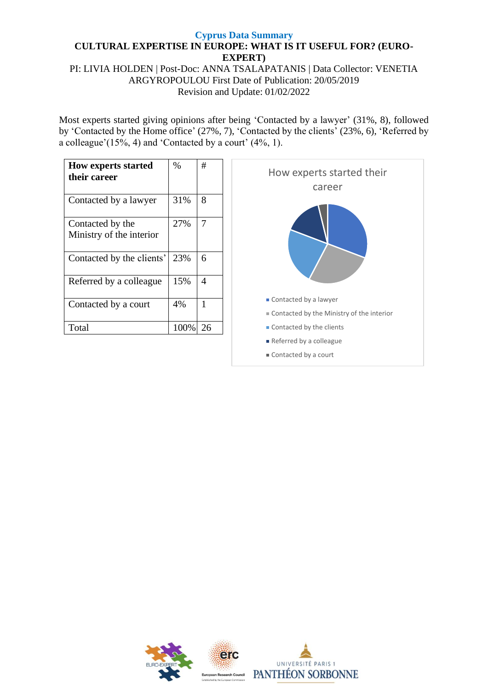PI: LIVIA HOLDEN | Post-Doc: ANNA TSALAPATANIS | Data Collector: VENETIA ARGYROPOULOU First Date of Publication: 20/05/2019 Revision and Update: 01/02/2022

Most experts started giving opinions after being 'Contacted by a lawyer' (31%, 8), followed by 'Contacted by the Home office' (27%, 7), 'Contacted by the clients' (23%, 6), 'Referred by a colleague'(15%, 4) and 'Contacted by a court' (4%, 1).

| <b>How experts started</b><br>their career   | $\%$ | #  |
|----------------------------------------------|------|----|
| Contacted by a lawyer                        | 31%  | 8  |
| Contacted by the<br>Ministry of the interior | 27%  |    |
| Contacted by the clients'                    | 23%  | 6  |
| Referred by a colleague                      | 15%  | 4  |
| Contacted by a court                         | 4%   | 1  |
| Total                                        | 100% | 26 |



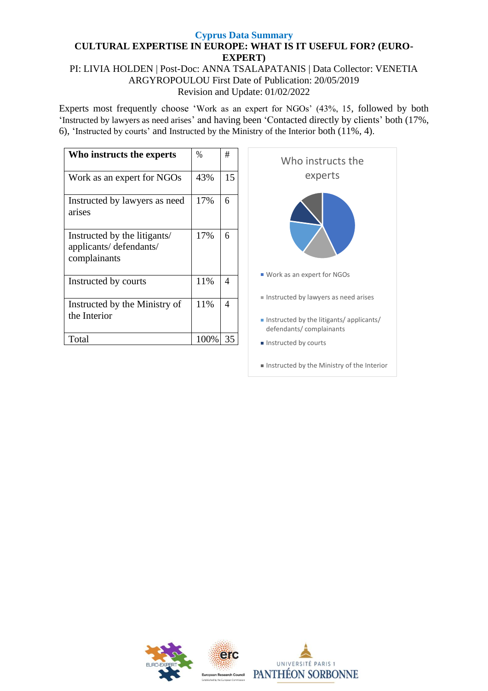#### PI: LIVIA HOLDEN | Post-Doc: ANNA TSALAPATANIS | Data Collector: VENETIA ARGYROPOULOU First Date of Publication: 20/05/2019 Revision and Update: 01/02/2022

Experts most frequently choose 'Work as an expert for NGOs' (43%, 15, followed by both 'Instructed by lawyers as need arises' and having been 'Contacted directly by clients' both (17%, 6), 'Instructed by courts' and Instructed by the Ministry of the Interior both (11%, 4).

| Who instructs the experts                                              | $\%$ | #  |
|------------------------------------------------------------------------|------|----|
| Work as an expert for NGOs                                             | 43%  | 15 |
| Instructed by lawyers as need<br>arises                                | 17%  | 6  |
| Instructed by the litigants/<br>applicants/defendants/<br>complainants | 17%  | 6  |
| Instructed by courts                                                   | 11%  | 4  |
| Instructed by the Ministry of<br>the Interior                          | 11%  | 4  |
| Total                                                                  | 100% | 35 |



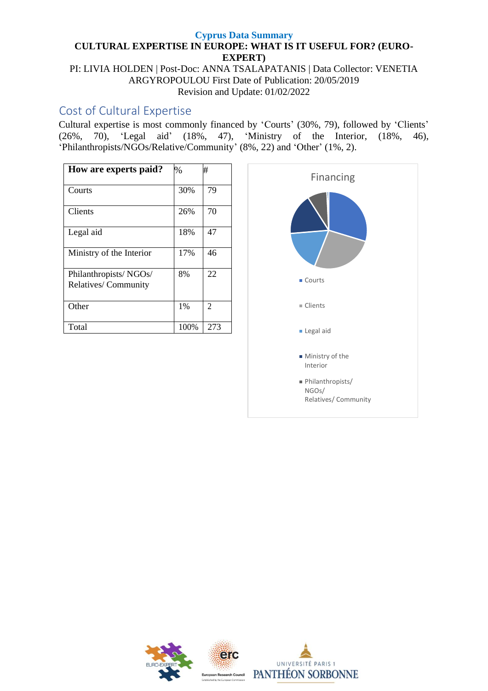PI: LIVIA HOLDEN | Post-Doc: ANNA TSALAPATANIS | Data Collector: VENETIA ARGYROPOULOU First Date of Publication: 20/05/2019 Revision and Update: 01/02/2022

## Cost of Cultural Expertise

Cultural expertise is most commonly financed by 'Courts' (30%, 79), followed by 'Clients' (26%, 70), 'Legal aid' (18%, 47), 'Ministry of the Interior, (18%, 46), 'Philanthropists/NGOs/Relative/Community' (8%, 22) and 'Other' (1%, 2).

| How are experts paid?    | $\%$ | #              |
|--------------------------|------|----------------|
|                          |      |                |
| Courts                   | 30%  | 79             |
|                          |      |                |
| Clients                  | 26%  | 70             |
| Legal aid                | 18%  | 47             |
| Ministry of the Interior | 17%  | 46             |
| Philanthropists/NGOs/    | 8%   | 22             |
| Relatives/Community      |      |                |
| Other                    | 1%   | $\mathfrak{D}$ |
| Total                    | 100% | 273            |



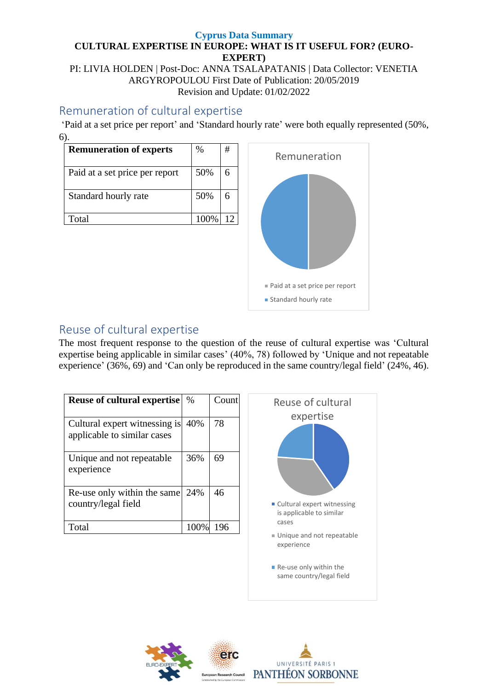PI: LIVIA HOLDEN | Post-Doc: ANNA TSALAPATANIS | Data Collector: VENETIA ARGYROPOULOU First Date of Publication: 20/05/2019 Revision and Update: 01/02/2022

## Remuneration of cultural expertise

'Paid at a set price per report' and 'Standard hourly rate' were both equally represented (50%, 6).

| <b>Remuneration of experts</b> | $\%$  | # |
|--------------------------------|-------|---|
| Paid at a set price per report | 50%   | 6 |
| Standard hourly rate           | 50%   | 6 |
| Total                          | 100\% |   |



# Reuse of cultural expertise

The most frequent response to the question of the reuse of cultural expertise was 'Cultural expertise being applicable in similar cases' (40%, 78) followed by 'Unique and not repeatable experience' (36%, 69) and 'Can only be reproduced in the same country/legal field' (24%, 46).

| <b>Reuse of cultural expertise</b>                           | $\%$ | Count |
|--------------------------------------------------------------|------|-------|
| Cultural expert witnessing is<br>applicable to similar cases | 40%  | 78    |
| Unique and not repeatable<br>experience                      | 36%  | 69    |
| Re-use only within the same<br>country/legal field           | 24%  | 46    |
| Total                                                        | 100% | 196   |



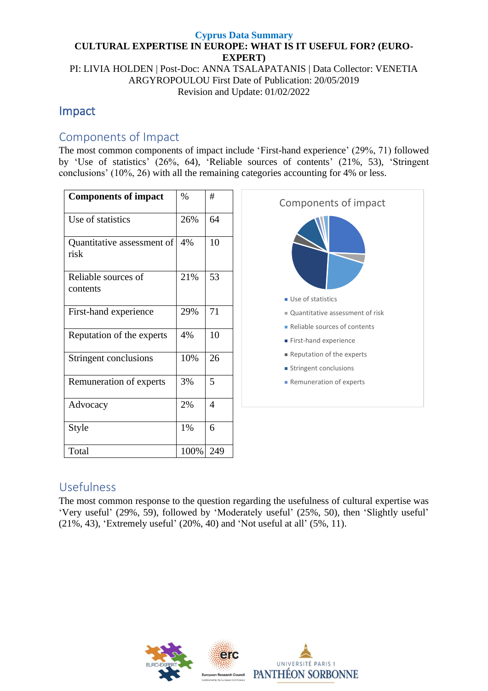PI: LIVIA HOLDEN | Post-Doc: ANNA TSALAPATANIS | Data Collector: VENETIA ARGYROPOULOU First Date of Publication: 20/05/2019 Revision and Update: 01/02/2022

# Impact

## Components of Impact

The most common components of impact include 'First-hand experience' (29%, 71) followed by 'Use of statistics' (26%, 64), 'Reliable sources of contents' (21%, 53), 'Stringent conclusions' (10%, 26) with all the remaining categories accounting for 4% or less.

| <b>Components of impact</b>        | $\%$ | #   |
|------------------------------------|------|-----|
| Use of statistics                  | 26%  | 64  |
| Quantitative assessment of<br>risk | 4%   | 10  |
| Reliable sources of<br>contents    | 21%  | 53  |
| First-hand experience              | 29%  | 71  |
| Reputation of the experts          | 4%   | 10  |
| Stringent conclusions              | 10%  | 26  |
| Remuneration of experts            | 3%   | 5   |
| Advocacy                           | 2%   | 4   |
| Style                              | 1%   | 6   |
| Total                              | 100% | 249 |



## Usefulness

The most common response to the question regarding the usefulness of cultural expertise was 'Very useful' (29%, 59), followed by 'Moderately useful' (25%, 50), then 'Slightly useful' (21%, 43), 'Extremely useful' (20%, 40) and 'Not useful at all' (5%, 11).

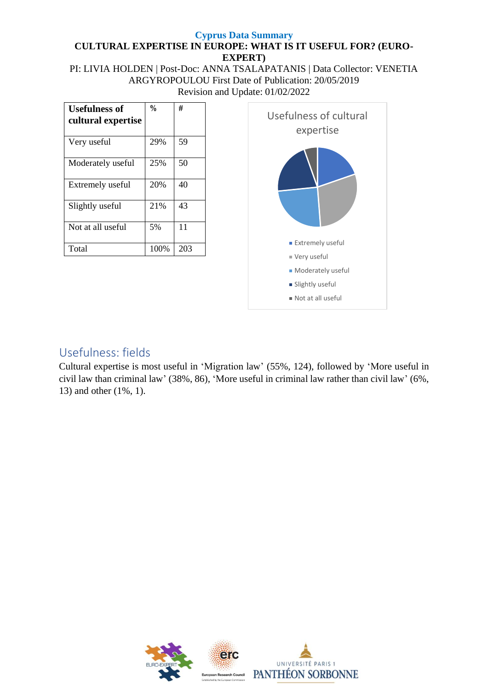PI: LIVIA HOLDEN | Post-Doc: ANNA TSALAPATANIS | Data Collector: VENETIA ARGYROPOULOU First Date of Publication: 20/05/2019 Revision and Update: 01/02/2022

| <b>Usefulness of</b><br>cultural expertise | $\frac{0}{0}$ | #   |
|--------------------------------------------|---------------|-----|
| Very useful                                | 29%           | 59  |
| Moderately useful                          | 25%           | 50  |
| Extremely useful                           | 20%           | 40  |
| Slightly useful                            | 21%           | 43  |
| Not at all useful                          | 5%            | 11  |
| Total                                      | 100%          | 203 |



# Usefulness: fields

Cultural expertise is most useful in 'Migration law' (55%, 124), followed by 'More useful in civil law than criminal law' (38%, 86), 'More useful in criminal law rather than civil law' (6%, 13) and other (1%, 1).

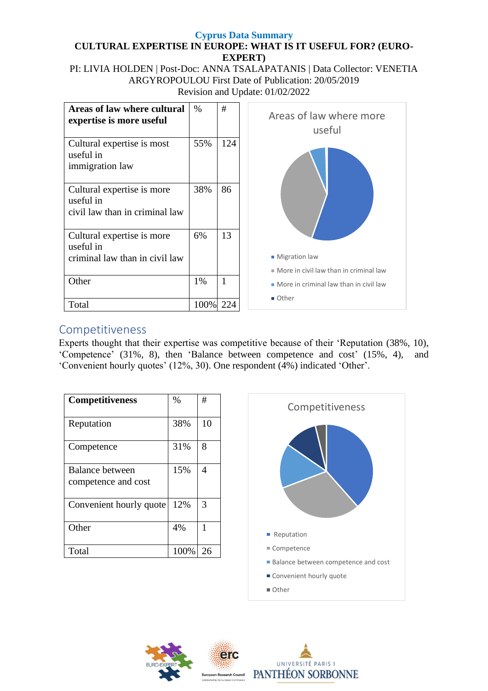PI: LIVIA HOLDEN | Post-Doc: ANNA TSALAPATANIS | Data Collector: VENETIA ARGYROPOULOU First Date of Publication: 20/05/2019 Revision and Update: 01/02/2022



## Competitiveness

Experts thought that their expertise was competitive because of their 'Reputation (38%, 10), 'Competence' (31%, 8), then 'Balance between competence and cost' (15%, 4), and 'Convenient hourly quotes' (12%, 30). One respondent (4%) indicated 'Other'.

| <b>Competitiveness</b>                 | $\%$ | #  |
|----------------------------------------|------|----|
| Reputation                             | 38%  | 10 |
| Competence                             | 31%  | 8  |
| Balance between<br>competence and cost | 15%  | 4  |
| Convenient hourly quote                | 12%  | 3  |
| Other                                  | 4%   | 1  |
| Total                                  | 100% | 26 |



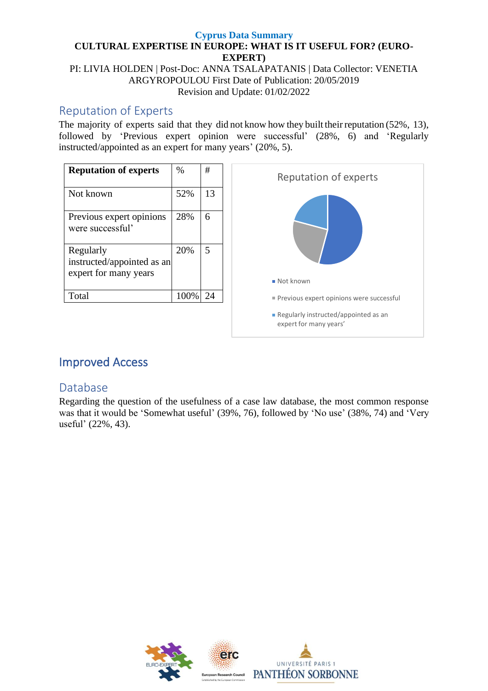PI: LIVIA HOLDEN | Post-Doc: ANNA TSALAPATANIS | Data Collector: VENETIA ARGYROPOULOU First Date of Publication: 20/05/2019 Revision and Update: 01/02/2022

## Reputation of Experts

The majority of experts said that they did not know how they built their reputation (52%, 13), followed by 'Previous expert opinion were successful' (28%, 6) and 'Regularly instructed/appointed as an expert for many years' (20%, 5).



# Improved Access

## Database

Regarding the question of the usefulness of a case law database, the most common response was that it would be 'Somewhat useful' (39%, 76), followed by 'No use' (38%, 74) and 'Very useful' (22%, 43).

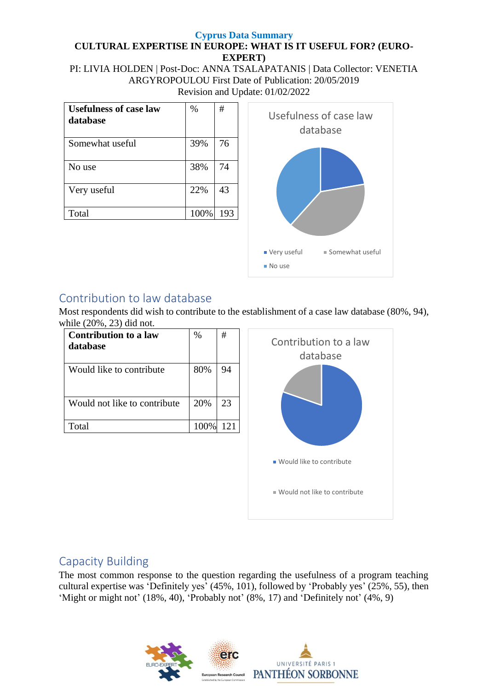PI: LIVIA HOLDEN | Post-Doc: ANNA TSALAPATANIS | Data Collector: VENETIA ARGYROPOULOU First Date of Publication: 20/05/2019 Revision and Update: 01/02/2022

| <b>Usefulness of case law</b><br>database | $\%$ | #   |
|-------------------------------------------|------|-----|
| Somewhat useful                           | 39%  | 76  |
| No use                                    | 38%  | 74  |
| Very useful                               | 22%  | 43  |
| Total                                     | 100% | 193 |



# Contribution to law database

Most respondents did wish to contribute to the establishment of a case law database (80%, 94), while (20%, 23) did not.

| <b>Contribution to a law</b><br>database | $\%$ | #   |
|------------------------------------------|------|-----|
| Would like to contribute                 | 80%  | 94  |
| Would not like to contribute             | 20%  | 23  |
| Total                                    | 100% | 121 |



## Capacity Building

The most common response to the question regarding the usefulness of a program teaching cultural expertise was 'Definitely yes'  $(45\%, 101)$ , followed by 'Probably yes'  $(25\%, 55)$ , then 'Might or might not' (18%, 40), 'Probably not' (8%, 17) and 'Definitely not' (4%, 9)